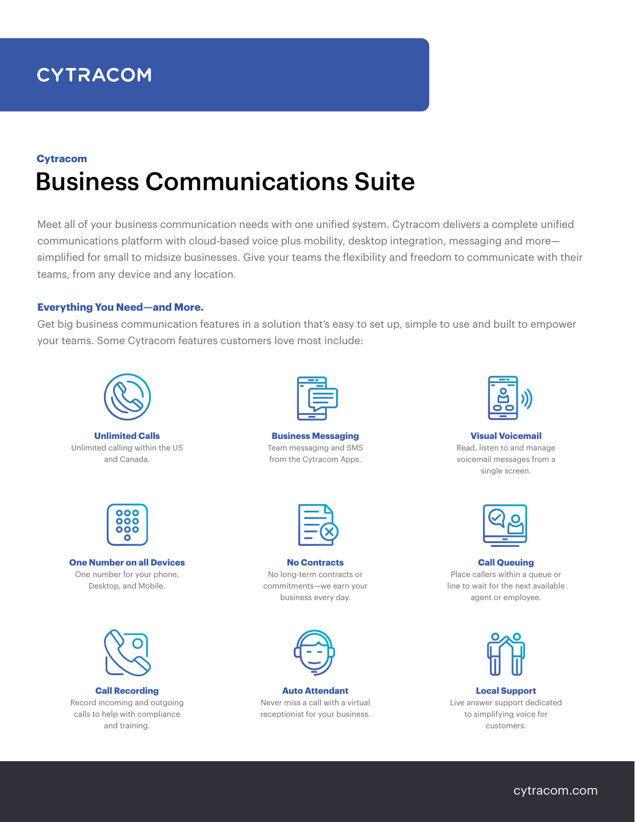# **CYTRACOM**

## Business Communications Suite **Cytracom**

Meet all of your business communication needs with one unified system. Cytracom delivers a complete unified communications platform with cloud-based voice plus mobility, desktop integration, messaging and more simplified for small to midsize businesses. Give your teams the flexibility and freedom to communicate with their teams, from any device and any location.

#### **Everything You Need—and More.**

Get big business communication features in a solution that's easy to set up, simple to use and built to empower your teams. Some Cytracom features customers love most include:



**Unlimited Calls** Unlimited calling within the US and Canada.



**Business Messaging** Team messaging and SMS from the Cytracom Apps.



**Visual Voicemail** Read, listen to and manage voicemail messages from a single screen.



**One Number on all Devices** One number for your phone, Desktop, and Mobile.



**Call Recording** Record incoming and outgoing calls to help with compliance and training.



**No Contracts** No long-term contracts or commitments—we earn your business every day.



**Auto Attendant** Never miss a call with a virtual receptionist for your business.



**Call Queuing** Place callers within a queue or line to wait for the next available agent or employee.



**Local Support** Live answer support dedicated to simplifying voice for customers.